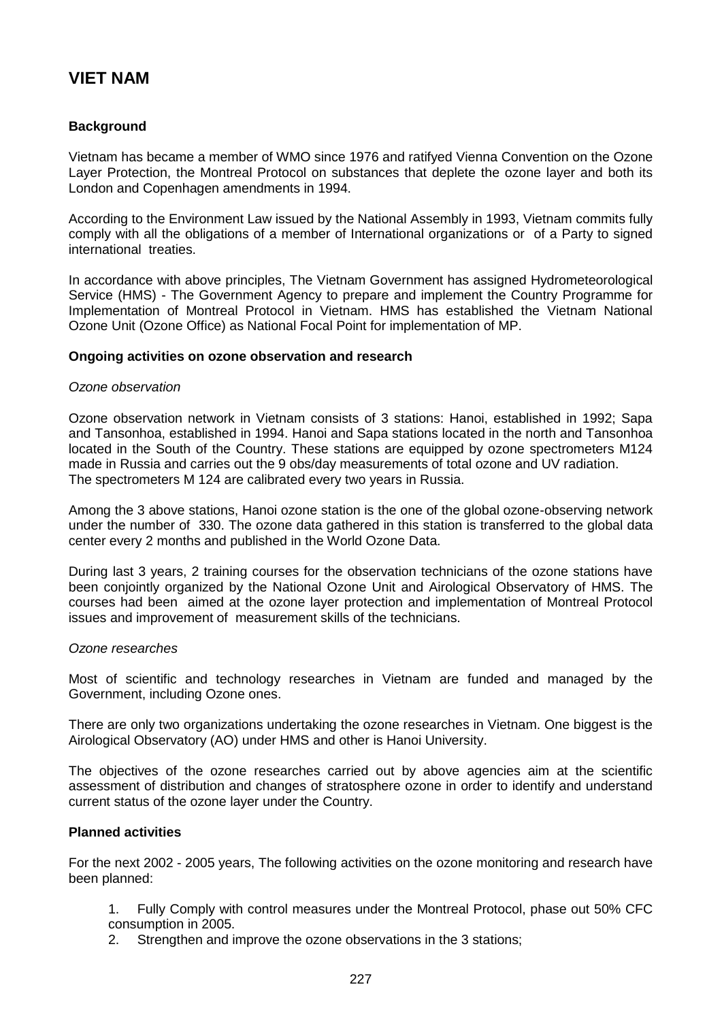# **VIET NAM**

## **Background**

Vietnam has became a member of WMO since 1976 and ratifyed Vienna Convention on the Ozone Layer Protection, the Montreal Protocol on substances that deplete the ozone layer and both its London and Copenhagen amendments in 1994.

According to the Environment Law issued by the National Assembly in 1993, Vietnam commits fully comply with all the obligations of a member of International organizations or of a Party to signed international treaties.

In accordance with above principles, The Vietnam Government has assigned Hydrometeorological Service (HMS) - The Government Agency to prepare and implement the Country Programme for Implementation of Montreal Protocol in Vietnam. HMS has established the Vietnam National Ozone Unit (Ozone Office) as National Focal Point for implementation of MP.

#### **Ongoing activities on ozone observation and research**

#### *Ozone observation*

Ozone observation network in Vietnam consists of 3 stations: Hanoi, established in 1992; Sapa and Tansonhoa, established in 1994. Hanoi and Sapa stations located in the north and Tansonhoa located in the South of the Country. These stations are equipped by ozone spectrometers M124 made in Russia and carries out the 9 obs/day measurements of total ozone and UV radiation. The spectrometers M 124 are calibrated every two years in Russia.

Among the 3 above stations, Hanoi ozone station is the one of the global ozone-observing network under the number of 330. The ozone data gathered in this station is transferred to the global data center every 2 months and published in the World Ozone Data.

During last 3 years, 2 training courses for the observation technicians of the ozone stations have been conjointly organized by the National Ozone Unit and Airological Observatory of HMS. The courses had been aimed at the ozone layer protection and implementation of Montreal Protocol issues and improvement of measurement skills of the technicians.

#### *Ozone researches*

Most of scientific and technology researches in Vietnam are funded and managed by the Government, including Ozone ones.

There are only two organizations undertaking the ozone researches in Vietnam. One biggest is the Airological Observatory (AO) under HMS and other is Hanoi University.

The objectives of the ozone researches carried out by above agencies aim at the scientific assessment of distribution and changes of stratosphere ozone in order to identify and understand current status of the ozone layer under the Country.

### **Planned activities**

For the next 2002 - 2005 years, The following activities on the ozone monitoring and research have been planned:

1. Fully Comply with control measures under the Montreal Protocol, phase out 50% CFC consumption in 2005.

2. Strengthen and improve the ozone observations in the 3 stations;